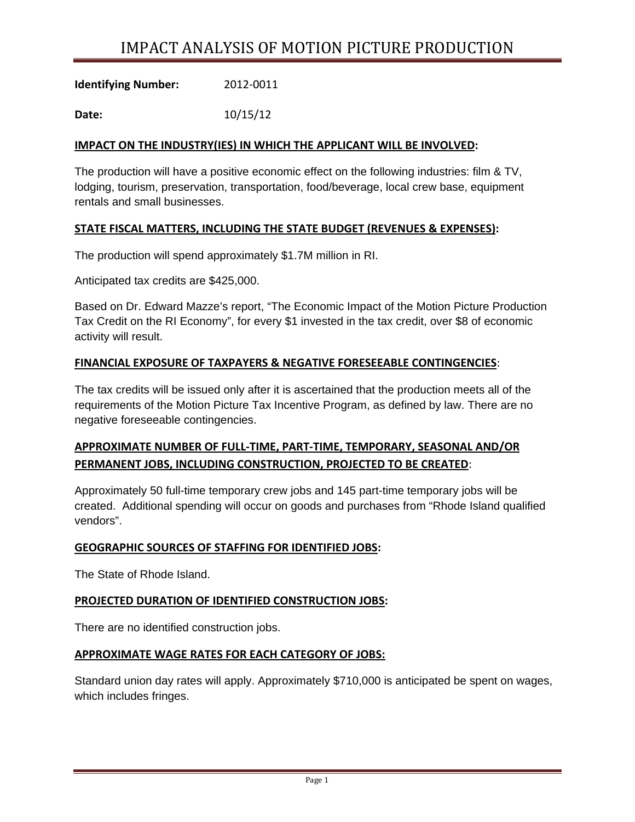# IMPACT ANALYSIS OF MOTION PICTURE PRODUCTION

**Identifying Number:**  2012‐0011

**Date:**  10/15/12

# **IMPACT ON THE INDUSTRY(IES) IN WHICH THE APPLICANT WILL BE INVOLVED:**

The production will have a positive economic effect on the following industries: film & TV, lodging, tourism, preservation, transportation, food/beverage, local crew base, equipment rentals and small businesses.

## **STATE FISCAL MATTERS, INCLUDING THE STATE BUDGET (REVENUES & EXPENSES):**

The production will spend approximately \$1.7M million in RI.

Anticipated tax credits are \$425,000.

Based on Dr. Edward Mazze's report, "The Economic Impact of the Motion Picture Production Tax Credit on the RI Economy", for every \$1 invested in the tax credit, over \$8 of economic activity will result.

## **FINANCIAL EXPOSURE OF TAXPAYERS & NEGATIVE FORESEEABLE CONTINGENCIES**:

The tax credits will be issued only after it is ascertained that the production meets all of the requirements of the Motion Picture Tax Incentive Program, as defined by law. There are no negative foreseeable contingencies.

# **APPROXIMATE NUMBER OF FULL‐TIME, PART‐TIME, TEMPORARY, SEASONAL AND/OR PERMANENT JOBS, INCLUDING CONSTRUCTION, PROJECTED TO BE CREATED**:

Approximately 50 full-time temporary crew jobs and 145 part-time temporary jobs will be created. Additional spending will occur on goods and purchases from "Rhode Island qualified vendors".

#### **GEOGRAPHIC SOURCES OF STAFFING FOR IDENTIFIED JOBS:**

The State of Rhode Island.

#### **PROJECTED DURATION OF IDENTIFIED CONSTRUCTION JOBS:**

There are no identified construction jobs.

#### **APPROXIMATE WAGE RATES FOR EACH CATEGORY OF JOBS:**

Standard union day rates will apply. Approximately \$710,000 is anticipated be spent on wages, which includes fringes.